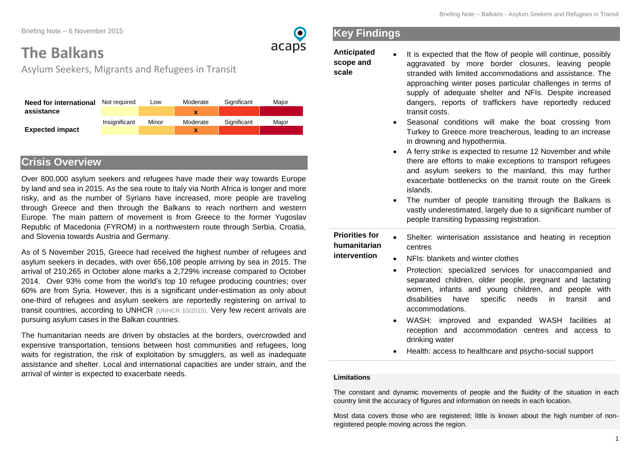Briefing Note – 6 November 2015

# **The Balkans**

Asylum Seekers, Migrants and Refugees in Transit

| Need for international | Not required  | Low   | Moderate | Significant | Maior |
|------------------------|---------------|-------|----------|-------------|-------|
| assistance             |               |       |          |             |       |
|                        | Insignificant | Minor | Moderate | Significant | Maior |
| <b>Expected impact</b> |               |       | x        |             |       |

## **Crisis Overview**

Over 800,000 asylum seekers and refugees have made their way towards Europe by land and sea in 2015. As the sea route to Italy via North Africa is longer and more risky, and as the number of Syrians have increased, more people are traveling through Greece and then through the Balkans to reach northern and western Europe. The main pattern of movement is from Greece to the former Yugoslav Republic of Macedonia (FYROM) in a northwestern route through Serbia, Croatia, and Slovenia towards Austria and Germany.

As of 5 November 2015, Greece had received the highest number of refugees and asylum seekers in decades, with over 656,108 people arriving by sea in 2015. The arrival of 210,265 in October alone marks a 2,729% increase compared to October 2014. Over 93% come from the world's top 10 refugee producing countries; over 60% are from Syria. However, this is a significant under-estimation as only about one-third of refugees and asylum seekers are reportedly registering on arrival to transit countries, according to UNHCR [\(UNHCR 10/2015\).](http://data.unhcr.org/mediterranean/download.php?id=70) Very few recent arrivals are pursuing asylum cases in the Balkan countries.

The humanitarian needs are driven by obstacles at the borders, overcrowded and expensive transportation, tensions between host communities and refugees, long waits for registration, the risk of exploitation by smugglers, as well as inadequate assistance and shelter. Local and international capacities are under strain, and the arrival of winter is expected to exacerbate needs.

# **Key Findings**

**Anticipated scope and scale** 

 $\bullet$ 

acaps

It is expected that the flow of people will continue, possibly aggravated by more border closures, leaving people stranded with limited accommodations and assistance. The approaching winter poses particular challenges in terms of supply of adequate shelter and NFIs. Despite increased dangers, reports of traffickers have reportedly reduced transit costs.

- Seasonal conditions will make the boat crossing from Turkey to Greece more treacherous, leading to an increase in drowning and hypothermia.
- A ferry strike is expected to resume 12 November and while there are efforts to make exceptions to transport refugees and asylum seekers to the mainland, this may further exacerbate bottlenecks on the transit route on the Greek islands.
- The number of people transiting through the Balkans is vastly underestimated, largely due to a significant number of people transiting bypassing registration.
- **Priorities for humanitarian intervention**  Shelter: winterisation assistance and heating in reception centres
	- NFIs: blankets and winter clothes
		- Protection: specialized services for unaccompanied and separated children, older people, pregnant and lactating women, infants and young children, and people with disabilities have specific needs in transit and accommodations.
		- WASH: improved and expanded WASH facilities at reception and accommodation centres and access to drinking water
		- Health: access to healthcare and psycho-social support

#### **Limitations**

The constant and dynamic movements of people and the fluidity of the situation in each country limit the accuracy of figures and information on needs in each location.

Most data covers those who are registered; little is known about the high number of nonregistered people moving across the region.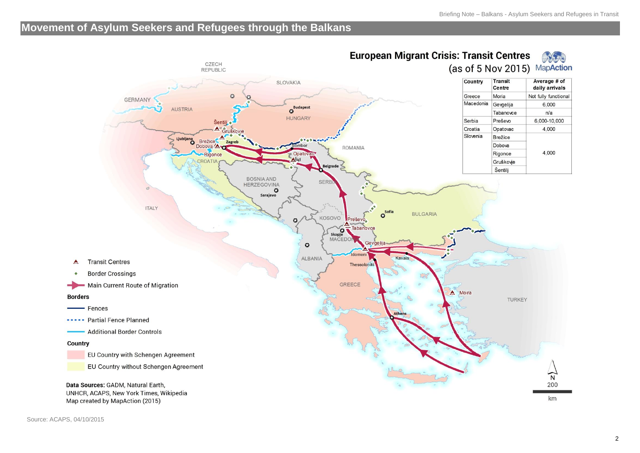## **Movement of Asylum Seekers and Refugees through the Balkans**

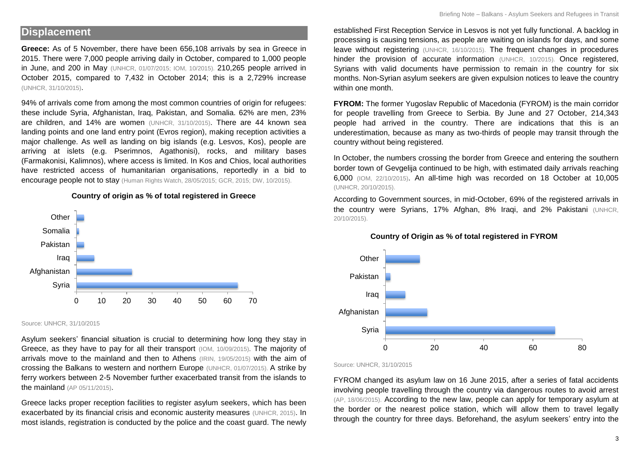#### **Displacement**

**Greece:** As of 5 November, there have been 656,108 arrivals by sea in Greece in 2015. There were 7,000 people arriving daily in October, compared to 1,000 people in June, and 200 in May [\(UNHCR, 01/07/2015;](http://reliefweb.int/sites/reliefweb.int/files/resources/5592bd059.pdf) [IOM, 10/2015\).](https://www.iom.int/news/iom-monitors-mediterranean-migrant-flows-7000-crossing-daily-greece) 210,265 people arrived in October 2015, compared to 7,432 in October 2014; this is a 2,729% increase [\(UNHCR, 31/10/2015\)](http://data.unhcr.org/mediterranean/country.php?id=83).

94% of arrivals come from among the most common countries of origin for refugees: these include Syria, Afghanistan, Iraq, Pakistan, and Somalia. 62% are men, 23% are children, and 14% are women [\(UNHCR, 31/10/2015\)](http://data.unhcr.org/mediterranean/country.php?id=83). There are 44 known sea landing points and one land entry point (Evros region), making reception activities a major challenge. As well as landing on big islands (e.g. Lesvos, Kos), people are arriving at islets (e.g. Pserimnos, Agathonisi), rocks, and military bases (Farmakonisi, Kalimnos), where access is limited. In Kos and Chios, local authorities have restricted access of humanitarian organisations, reportedly in a bid to encourage people not to stay [\(Human Rights Watch, 28/05/2015;](https://www.hrw.org/news/2015/05/28/dispatches-ugly-truth-behind-british-tourists-ruined-holidays-greece) [GCR, 2015;](http://www.gcr.gr/index.php/el/publications-media/activity-reports/item/489-kos-ioynios-2015) [DW, 10/2015\)](http://www.dw.com/en/kos-desperately-needs-a-refugee-camp/a-18725535).



**Country of origin as % of total registered in Greece**

Source: UNHCR, 31/10/2015

Asylum seekers' financial situation is crucial to determining how long they stay in Greece, as they have to pay for all their transport [\(IOM, 10/09/2015\).](https://www.iom.int/news/iom-monitors-mediterranean-migrant-flows-7000-crossing-daily-greece) The majority of arrivals move to the mainland and then to Athens [\(IRIN, 19/05/2015\)](http://reliefweb.int/report/greece/migrant-crisis-spreads-greek-isles) with the aim of crossing the Balkans to western and northern Europe [\(UNHCR, 01/07/2015\)](http://reliefweb.int/sites/reliefweb.int/files/resources/5592bd059.pdf). A strike by ferry workers between 2-5 November further exacerbated transit from the islands to the mainland [\(AP 05/11/2015\)](http://news.yahoo.com/latest-2-children-dead-migrant-boat-sinking-083738720.html).

Greece lacks proper reception facilities to register asylum seekers, which has been exacerbated by its financial crisis and economic austerity measures [\(UNHCR, 2015\)](http://www.unhcr.org/cgi-bin/texis/vtx/page?page=49e48e726&submit=GO). In most islands, registration is conducted by the police and the coast guard. The newly

established First Reception Service in Lesvos is not yet fully functional. A backlog in processing is causing tensions, as people are waiting on islands for days, and some leave without registering [\(UNHCR, 16/10/2015\)](http://www.voanews.com/content/unhcr-greece-overwhelmed-by-migrants/3010213.html). The frequent changes in procedures hinder the provision of accurate information [\(UNHCR, 10/2015\)](http://data.unhcr.org/mediterranean/country.php?id=83). Once registered, Syrians with valid documents have permission to remain in the country for six months. Non-Syrian asylum seekers are given expulsion notices to leave the country within one month

**FYROM:** The former Yugoslav Republic of Macedonia (FYROM) is the main corridor for people travelling from Greece to Serbia. By June and 27 October, 214,343 people had arrived in the country. There are indications that this is an underestimation, because as many as two-thirds of people may transit through the country without being registered.

In October, the numbers crossing the border from Greece and entering the southern border town of Gevgelija continued to be high, with estimated daily arrivals reaching 6,000 [\(IOM, 22/10/2015\)](https://www.iom.int/sites/default/files/situation_reports/file/Europe-Med-Migration-Response_Sitrep-5-22-Oct-2015-FINAL.pdf). An all-time high was recorded on 18 October at 10,005 [\(UNHCR, 20/10/2015\)](http://reliefweb.int/sites/reliefweb.int/files/resources/InterAgencyOperationalUpdate14-20October2015-FyRMacedonia.pdf).

According to Government sources, in mid-October, 69% of the registered arrivals in the country were Syrians, 17% Afghan, 8% Iraqi, and 2% Pakistani [\(UNHCR,](http://reliefweb.int/sites/reliefweb.int/files/resources/InterAgencyOperationalUpdate14-20October2015-FyRMacedonia.pdf)  [20/10/2015\)](http://reliefweb.int/sites/reliefweb.int/files/resources/InterAgencyOperationalUpdate14-20October2015-FyRMacedonia.pdf).



#### **Country of Origin as % of total registered in FYROM**

Source: UNHCR, 31/10/2015

FYROM changed its asylum law on 16 June 2015, after a series of fatal accidents involving people travelling through the country via dangerous routes to avoid arrest [\(AP, 18/06/2015\)](http://www.voanews.com/content/macedonia-migrants-asylum-law/2828577.html). According to the new law, people can apply for temporary asylum at the border or the nearest police station, which will allow them to travel legally through the country for three days. Beforehand, the asylum seekers' entry into the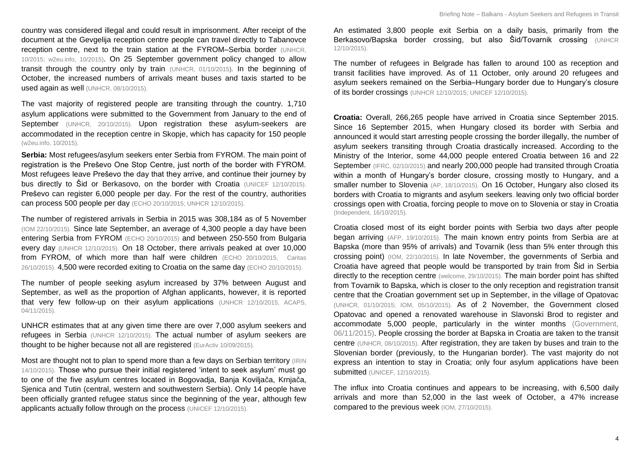country was considered illegal and could result in imprisonment. After receipt of the document at the Gevgelija reception centre people can travel directly to Tabanovce reception centre, next to the train station at the FYROM–Serbia border [\(UNHCR,](http://reliefweb.int/sites/reliefweb.int/files/resources/AccountabilitytoaffectedpopulationfinalOct2015.pdf)  [10/2015;](http://reliefweb.int/sites/reliefweb.int/files/resources/AccountabilitytoaffectedpopulationfinalOct2015.pdf) [w2eu.info, 10/2015\)](http://w2eu.info/macedonia.en/articles/macedonia-living.en.html). On 25 September government policy changed to allow transit through the country only by train [\(UNHCR, 01/10/2015](http://data.unhcr.org/mediterranean/download.php?id=70)**).** In the beginning of October, the increased numbers of arrivals meant buses and taxis started to be used again as well [\(UNHCR, 08/10/2015\)](http://reliefweb.int/sites/reliefweb.int/files/resources/UNHCRUpdate%235ontheEmergencyResponseinEurope-2-8OCT15%20%282%29.pdf).

The vast majority of registered people are transiting through the country. 1,710 asylum applications were submitted to the Government from January to the end of September [\(UNHCR, 20/10/2015\)](http://reliefweb.int/sites/reliefweb.int/files/resources/InterAgencyOperationalUpdate14-20October2015-FyRMacedonia.pdf). Upon registration these asylum-seekers are accommodated in the reception centre in Skopje, which has capacity for 150 people [\(w2eu.info, 10/2015\)](http://w2eu.info/macedonia.en/articles/macedonia-living.en.html).

**Serbia:** Most refugees/asylum seekers enter Serbia from FYROM. The main point of registration is the Preševo One Stop Centre, just north of the border with FYROM. Most refugees leave Preševo the day that they arrive, and continue their journey by bus directly to Šid or Berkasovo, on the border with Croatia [\(UNICEF 12/10/2015\).](http://reliefweb.int/sites/reliefweb.int/files/resources/UNICEF%20Refugee%20and%20Migrant%20Crisis%20in%20Europe%20Regional%20Humanitarian%20SitRep%20No.%201%2C%2012%20October%202015.pdf) Preševo can register 6,000 people per day. For the rest of the country, authorities can process 500 people per day [\(ECHO 20/10/2015;](http://reliefweb.int/report/world/western-balkans-refugee-crisis-echo-daily-flash-20-october-2015) [UNHCR 12/10/2015\).](http://reliefweb.int/sites/reliefweb.int/files/resources/InteragencyOperationalUpdate29Sep-12Oct.pdf)

The number of registered arrivals in Serbia in 2015 was 308,184 as of 5 November [\(IOM 22/10/2015\).](http://reliefweb.int/sites/reliefweb.int/files/resources/Map%20from%20Europe%20Med%20Migration%20Response_Sitrep%205%20to%2022%20Oct%202015_FINAL.pdf) Since late September, an average of 4,300 people a day have been entering Serbia from FYROM [\(ECHO 20/10/2015\)](http://reliefweb.int/report/world/western-balkans-refugee-crisis-echo-daily-flash-20-october-2015) and between 250-550 from Bulgaria every day [\(UNHCR 12/10/2015\).](http://reliefweb.int/sites/reliefweb.int/files/resources/InteragencyOperationalUpdate29Sep-12Oct.pdf) On 18 October, there arrivals peaked at over 10,000 from FYROM, of which more than half were children [\(ECHO 20/10/2015,](http://reliefweb.int/report/world/western-balkans-refugee-crisis-echo-daily-flash-20-october-2015) Caritas [26/10/2015\).](http://reliefweb.int/report/serbia/growing-numbers-refugees-serbia-croatia-and-slovenia) 4,500 were recorded exiting to Croatia on the same day [\(ECHO 20/10/2015\).](http://reliefweb.int/report/world/western-balkans-refugee-crisis-echo-daily-flash-20-october-2015)

The number of people seeking asylum increased by 37% between August and September, as well as the proportion of Afghan applicants, however, it is reported that very few follow-up on their asylum applications [\(UNHCR 12/10/2015,](http://reliefweb.int/sites/reliefweb.int/files/resources/InteragencyOperationalUpdate29Sep-12Oct.pdf) ACAPS, 04/11/2015).

UNHCR estimates that at any given time there are over 7,000 asylum seekers and refugees in Serbia [\(UNHCR 12/10/2015\).](http://reliefweb.int/sites/reliefweb.int/files/resources/InteragencyOperationalUpdate29Sep-12Oct.pdf) The actual number of asylum seekers are thought to be higher because not all are registered [\(EurActiv 10/09/2015\)](http://www.euractiv.com/sections/justice-home-affairs/serbia-happy-help-eu-not-be-converted-refugee-hub-317523).

Most are thought not to plan to spend more than a few days on Serbian territory (IRIN [14/10/2015\)](http://www.irinnews.org/report/102104/what-will-winter-bring-for-europe-s-refugee-crisis). Those who pursue their initial registered 'intent to seek asylum' must go to one of the five asylum centres located in Bogovadja, Banja Koviljača, Krnjača, Sjenica and Tutin (central, western and southwestern Serbia). Only 14 people have been officially granted refugee status since the beginning of the year, although few applicants actually follow through on the process [\(UNICEF 12/10/2015\).](http://reliefweb.int/sites/reliefweb.int/files/resources/UNICEF%20Refugee%20and%20Migrant%20Crisis%20in%20Europe%20Regional%20Humanitarian%20SitRep%20No.%201%2C%2012%20October%202015.pdf)

An estimated 3,800 people exit Serbia on a daily basis, primarily from the Berkasovo/Bapska border crossing, but also Šid/Tovarnik crossing [\(UNHCR](http://reliefweb.int/sites/reliefweb.int/files/resources/InteragencyOperationalUpdate29Sep-12Oct.pdf)  [12/10/2015\).](http://reliefweb.int/sites/reliefweb.int/files/resources/InteragencyOperationalUpdate29Sep-12Oct.pdf)

The number of refugees in Belgrade has fallen to around 100 as reception and transit facilities have improved. As of 11 October, only around 20 refugees and asylum seekers remained on the Serbia–Hungary border due to Hungary's closure of its border crossings [\(UNHCR 12/10/2015;](http://reliefweb.int/sites/reliefweb.int/files/resources/InteragencyOperationalUpdate29Sep-12Oct.pdf) [UNICEF 12/10/2015\).](http://reliefweb.int/sites/reliefweb.int/files/resources/UNICEF%20Refugee%20and%20Migrant%20Crisis%20in%20Europe%20Regional%20Humanitarian%20SitRep%20No.%201%2C%2012%20October%202015.pdf)

**Croatia:** Overall, 266,265 people have arrived in Croatia since September 2015. Since 16 September 2015, when Hungary closed its border with Serbia and announced it would start arresting people crossing the border illegally, the number of asylum seekers transiting through Croatia drastically increased. According to the Ministry of the Interior, some 44,000 people entered Croatia between 16 and 22 September [\(IFRC, 02/10/2015\)](http://reliefweb.int/sites/reliefweb.int/files/resources/MDRHR001do.pdf) and nearly 200,000 people had transited through Croatia within a month of Hungary's border closure, crossing mostly to Hungary, and a smaller number to Slovenia [\(AP, 18/10/2015\).](http://reliefweb.int/report/croatia/croatia-transfers-1000-more-migrants-slovenia) On 16 October, Hungary also closed its borders with Croatia to migrants and asylum seekers, leaving only two official border crossings open with Croatia, forcing people to move on to Slovenia or stay in Croatia [\(Independent, 16/10/2015\)](http://www.independent.co.uk/news/world/europe/refugee-crisis-hungary-closes-croatian-border-to-refugees-from-midnight-a6697071.html).

Croatia closed most of its eight border points with Serbia two days after people began arriving [\(AFP, 19/10/2015\)](http://reliefweb.int/report/slovenia/slovenia-border-standoff-croatia-buses-migrants-turkey). The main known entry points from Serbia are at Bapska (more than 95% of arrivals) and Tovarnik (less than 5% enter through this crossing point) [\(IOM, 22/10/2015\)](https://www.iom.int/sites/default/files/situation_reports/file/Europe-Med-Migration-Response_Sitrep-5-22-Oct-2015-FINAL.pdf). In late November, the governments of Serbia and Croatia have agreed that people would be transported by train from Šid in Serbia directly to the reception centre [\(welcome, 29/10/2015\)](http://welcome.cms.hr/index.php/en/2015/10/29/moving-the-camp-to-slavonski-brod-in-the-light-of-political-decisions-trying-to-slow-down-the-balkans-route/). The main border point has shifted from Tovarnik to Bapska, which is closer to the only reception and registration transit centre that the Croatian government set up in September, in the village of Opatovac [\(UNHCR, 01/10/2015; IOM, 05/10/2015\)](http://data.unhcr.org/mediterranean/download.php?id=70). As of 2 November, the Government closed Opatovac and opened a renovated warehouse in Slavonski Brod to register and accommodate 5,000 people, particularly in the winter months [\(Government,](http://www.mup.hr/219696.aspx)  [06/11/2015\).](http://www.mup.hr/219696.aspx) People crossing the border at Bapska in Croatia are taken to the transit centre [\(UNHCR, 08/10/2015\)](http://reliefweb.int/sites/reliefweb.int/files/resources/UNHCRUpdate%235ontheEmergencyResponseinEurope-2-8OCT15%20%282%29.pdf). After registration, they are taken by buses and train to the Slovenian border (previously, to the Hungarian border). The vast majority do not express an intention to stay in Croatia; only four asylum applications have been submitted [\(UNICEF, 12/10/2015\).](http://reliefweb.int/sites/reliefweb.int/files/resources/UNICEF%20Refugee%20and%20Migrant%20Crisis%20in%20Europe%20Regional%20Humanitarian%20SitRep%20No.%201,%2012%20October%202015.pdf)

The influx into Croatia continues and appears to be increasing, with 6,500 daily arrivals and more than 52,000 in the last week of October, a 47% increase compared to the previous week [\(IOM, 27/10/2015\)](http://migration.iom.int/europe/).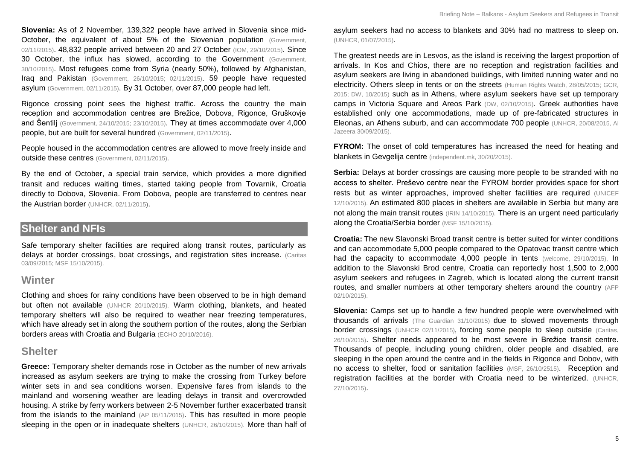**Slovenia:** As of 2 November, 139,322 people have arrived in Slovenia since mid-October, the equivalent of about 5% of the Slovenian population (Government, [02/11/2015\)](http://www.vlada.si/en/media_room/government_press_releases/press_release/article/aid_for_refugees_to_be_provided_through_public_work_56830/). 48,832 people arrived between 20 and 27 October [\(IOM, 29/10/2015\)](http://migration.iom.int/europe/). Since 30 October, the influx has slowed, according to the Government (Government, [30/10/2015\)](http://reliefweb.int/report/slovenia/influx-migrants-slovenia-has-been-slowing-slightly). Most refugees come from Syria (nearly 50%), followed by Afghanistan, Iraq and Pakistan [\(Government, 26/10/2015; 02/11/2015\)](http://reliefweb.int/report/slovenia/slovenia-keeping-situation-under-control-immense-effort). 59 people have requested asylum [\(Government, 02/11/2015\)](http://www.vlada.si/en/media_room/government_press_releases/press_release/article/aid_for_refugees_to_be_provided_through_public_work_56830/). By 31 October, over 87,000 people had left.

Rigonce crossing point sees the highest traffic. Across the country the main reception and accommodation centres are Brežice, Dobova, Rigonce, Gruškovje and Šentilj [\(Government, 24/10/2015; 23/10/2015\)](http://reliefweb.int/report/slovenia/today-over-64000-refugees-and-migrants-had-entered-slovenia). They at times accommodate over 4,000 people, but are built for several hundred [\(Government, 02/11/2015\)](http://www.vlada.si/en/media_room/government_press_releases/press_release/article/aid_for_refugees_to_be_provided_through_public_work_56830/).

People housed in the accommodation centres are allowed to move freely inside and outside these centres [\(Government, 02/11/2015\).](http://www.vlada.si/en/media_room/government_press_releases/press_release/article/aid_for_refugees_to_be_provided_through_public_work_56830/)

By the end of October, a special train service, which provides a more dignified transit and reduces waiting times, started taking people from Tovarnik, Croatia directly to Dobova, Slovenia. From Dobova, people are transferred to centres near the Austrian border [\(UNHCR, 02/11/2015\)](file:///C:/Users/ACAPS/Downloads/UNHCRUpdate%238ontheEmergencyResponseinEurope.pdf).

## **Shelter and NFIs**

Safe temporary shelter facilities are required along transit routes, particularly as delays at border crossings, boat crossings, and registration sites increase. (Caritas [03/09/2015;](http://www.caritas.org/2015/09/caritas-launches-appeal-to-help-refugees-in-serbia/) [MSF 15/10/2015\)](http://www.msf.org/article/migration-thousands-crossing-balkans-exposed-unnecessary-suffering).

#### **Winter**

Clothing and shoes for rainy conditions have been observed to be in high demand but often not available [\(UNHCR 20/10/2015\)](http://reliefweb.int/sites/reliefweb.int/files/resources/InterAgencyOperationalUpdate14-20October2015-FyRMacedonia.pdf). Warm clothing, blankets, and heated temporary shelters will also be required to weather near freezing temperatures, which have already set in along the southern portion of the routes, along the Serbian borders areas with Croatia and Bulgaria [\(ECHO 20/10/2016\).](http://reliefweb.int/report/world/western-balkans-refugee-crisis-echo-daily-flash-20-october-2015)

#### **Shelter**

**Greece:** Temporary shelter demands rose in October as the number of new arrivals increased as asylum seekers are trying to make the crossing from Turkey before winter sets in and sea conditions worsen. Expensive fares from islands to the mainland and worsening weather are leading delays in transit and overcrowded housing. A strike by ferry workers between 2-5 November further exacerbated transit from the islands to the mainland [\(AP 05/11/2015\)](http://news.yahoo.com/latest-2-children-dead-migrant-boat-sinking-083738720.html). This has resulted in more people sleeping in the open or in inadequate shelters [\(UNHCR, 26/10/2015\)](http://data.unhcr.org/mediterranean/country.php?id=83). More than half of asylum seekers had no access to blankets and 30% had no mattress to sleep on. [\(UNHCR, 01/07/2015\)](http://reliefweb.int/sites/reliefweb.int/files/resources/5592bd059.pdf).

The greatest needs are in Lesvos, as the island is receiving the largest proportion of arrivals. In Kos and Chios, there are no reception and registration facilities and asylum seekers are living in abandoned buildings, with limited running water and no electricity. Others sleep in tents or on the streets [\(Human Rights Watch, 28/05/2015;](https://www.hrw.org/news/2015/05/28/dispatches-ugly-truth-behind-british-tourists-ruined-holidays-greece) [GCR,](http://www.gcr.gr/index.php/el/publications-media/activity-reports/item/489-kos-ioynios-2015)  [2015;](http://www.gcr.gr/index.php/el/publications-media/activity-reports/item/489-kos-ioynios-2015) [DW, 10/2015\)](http://www.dw.com/en/kos-desperately-needs-a-refugee-camp/a-18725535) such as in Athens, where asylum seekers have set up temporary camps in Victoria Square and Areos Park [\(DW, 02/10/2015\)](http://www.dw.com/en/refugee-crisis-puts-athens-on-the-brink/a-18757016). Greek authorities have established only one accommodations, made up of pre-fabricated structures in Eleonas, an Athens suburb, and can accommodate 700 people [\(UNHCR, 20/08/2015,](http://www.unhcr.org/55d5dc5f6.html) [Al](http://www.aljazeera.com/indepth/inpictures/2015/09/greece-refugees-camp-150928101923759.html)  [Jazeera 30/09/2015\)](http://www.aljazeera.com/indepth/inpictures/2015/09/greece-refugees-camp-150928101923759.html).

**FYROM:** The onset of cold temperatures has increased the need for heating and blankets in Gevgelija centre [\(independent.mk, 30/20/2015\)](http://www.independent.mk/articles/23755/Macedonia+Gevgelija+Plans+to+Expand+Its+Refugee+Center).

**Serbia:** Delays at border crossings are causing more people to be stranded with no access to shelter. Preševo centre near the FYROM border provides space for short rests but as winter approaches, improved shelter facilities are required [\(UNICEF](http://reliefweb.int/sites/reliefweb.int/files/resources/UNICEF%20Refugee%20and%20Migrant%20Crisis%20in%20Europe%20Regional%20Humanitarian%20SitRep%20No.%201%2C%2012%20October%202015.pdf)  [12/10/2015\).](http://reliefweb.int/sites/reliefweb.int/files/resources/UNICEF%20Refugee%20and%20Migrant%20Crisis%20in%20Europe%20Regional%20Humanitarian%20SitRep%20No.%201%2C%2012%20October%202015.pdf) An estimated 800 places in shelters are available in Serbia but many are not along the main transit routes [\(IRIN 14/10/2015\).](http://www.irinnews.org/report/102104/what-will-winter-bring-for-europe-s-refugee-crisis) There is an urgent need particularly along the Croatia/Serbia border [\(MSF 15/10/2015\).](http://www.msf.org/article/migration-thousands-crossing-balkans-exposed-unnecessary-suffering)

**Croatia:** The new Slavonski Broad transit centre is better suited for winter conditions and can accommodate 5,000 people compared to the Opatovac transit centre which had the capacity to accommodate 4,000 people in tents (welcome, [29/10/2015\)](http://welcome.cms.hr/index.php/en/2015/10/29/moving-the-camp-to-slavonski-brod-in-the-light-of-political-decisions-trying-to-slow-down-the-balkans-route/), In addition to the Slavonski Brod centre, Croatia can reportedly host 1,500 to 2,000 asylum seekers and refugees in Zagreb, which is located along the current transit routes, and smaller numbers at other temporary shelters around the country [\(AFP](http://news.yahoo.com/croatia-braces-winter-shivering-migrants-pour-090335529.html)  [02/10/2015\)](http://news.yahoo.com/croatia-braces-winter-shivering-migrants-pour-090335529.html).

**Slovenia:** Camps set up to handle a few hundred people were overwhelmed with thousands of arrivals [\(The Guardian 31/10/2015\)](http://www.theguardian.com/world/2015/oct/31/austria-fence-slovenia-wire-europe-refugees) due to slowed movements through border crossings [\(UNHCR 02/11/2015\)](file:///C:/Users/ACAPS/Downloads/UNHCRUpdate%238ontheEmergencyResponseinEurope.pdf)**,** forcing some people to sleep outside [\(Caritas,](http://reliefweb.int/report/serbia/growing-numbers-refugees-serbia-croatia-and-slovenia)  [26/10/2015\)](http://reliefweb.int/report/serbia/growing-numbers-refugees-serbia-croatia-and-slovenia). Shelter needs appeared to be most severe in Brežice transit centre. Thousands of people, including young children, older people and disabled, are sleeping in the open around the centre and in the fields in Rigonce and Dobov, with no access to shelter, food or sanitation facilities [\(MSF, 26/10/2515\)](http://reliefweb.int/report/slovenia/slovenia-people-transit-urgently-need-assistance). Reception and registration facilities at the border with Croatia need to be winterized. [\(UNHCR,](http://reliefweb.int/sites/reliefweb.int/files/resources/UNICEF%20Refugee%20and%20Migrant%20Crisis%20SitRep%202%2027Oct2015.pdf)  [27/10/2015\)](http://reliefweb.int/sites/reliefweb.int/files/resources/UNICEF%20Refugee%20and%20Migrant%20Crisis%20SitRep%202%2027Oct2015.pdf).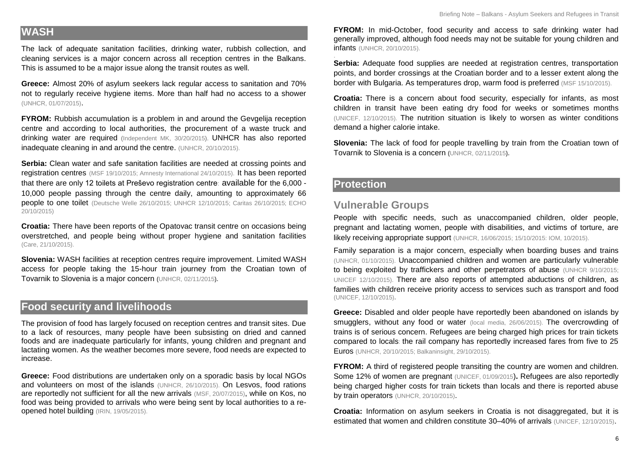#### **WASH**

The lack of adequate sanitation facilities, drinking water, rubbish collection, and cleaning services is a major concern across all reception centres in the Balkans. This is assumed to be a major issue along the transit routes as well.

**Greece:** Almost 20% of asylum seekers lack regular access to sanitation and 70% not to regularly receive hygiene items. More than half had no access to a shower [\(UNHCR, 01/07/2015\)](http://reliefweb.int/sites/reliefweb.int/files/resources/5592bd059.pdf).

**FYROM:** Rubbish accumulation is a problem in and around the Gevgelija reception centre and according to local authorities, the procurement of a waste truck and drinking water are required [\(Independent MK,](http://www.independent.mk/articles/23755/Macedonia+Gevgelija+Plans+to+Expand+Its+Refugee+Center) 30/20/2015). UNHCR has also reported inadequate cleaning in and around the centre. [\(UNHCR, 20/10/2015\)](http://reliefweb.int/sites/reliefweb.int/files/resources/InterAgencyOperationalUpdate14-20October2015-FyRMacedonia.pdf).

**Serbia:** Clean water and safe sanitation facilities are needed at crossing points and registration centres [\(MSF 19/10/2015;](http://reliefweb.int/report/serbia/3000-people-stranded-border-between-serbia-and-croatia-without-shelter) [Amnesty International 24/10/2015\).](http://reliefweb.int/report/serbia/eu-balkans-summit-must-avert-looming-refugee-disaster-winter-nears) It has been reported that there are only 12 toilets at Preševo registration centre: available for the 6,000 - 10,000 people passing through the centre daily, amounting to approximately 66 people to one toilet [\(Deutsche Welle 26/10/2015; UNHCR 12/10/2015;](http://reliefweb.int/sites/reliefweb.int/files/resources/InteragencyOperationalUpdate29Sep-12Oct.pdf) [Caritas 26/10/2015;](http://reliefweb.int/report/serbia/growing-numbers-refugees-serbia-croatia-and-slovenia) [ECHO](http://reliefweb.int/report/world/western-balkans-refugee-crisis-echo-daily-flash-20-october-2015)  [20/10/2015\)](http://reliefweb.int/report/world/western-balkans-refugee-crisis-echo-daily-flash-20-october-2015)

**Croatia:** There have been reports of the Opatovac transit centre on occasions being overstretched, and people being without proper hygiene and sanitation facilities [\(Care, 21/10/2015\).](http://www.careinternational.org.uk/stories/balkans-refugee-crisis-report-frontline)

**Slovenia:** WASH facilities at reception centres require improvement. Limited WASH access for people taking the 15-hour train journey from the Croatian town of Tovarnik to Slovenia is a major concern **(**[UNHCR, 02/11/2015](file:///C:/Users/ACAPS/Downloads/UNHCRUpdate%238ontheEmergencyResponseinEurope.pdf)**).**

# **Food security and livelihoods**

The provision of food has largely focused on reception centres and transit sites. Due to a lack of resources, many people have been subsisting on dried and canned foods and are inadequate particularly for infants, young children and pregnant and lactating women. As the weather becomes more severe, food needs are expected to increase.

**Greece:** Food distributions are undertaken only on a sporadic basis by local NGOs and volunteers on most of the islands [\(UNHCR, 26/10/2015\)](http://data.unhcr.org/mediterranean/country.php?id=83). On Lesvos, food rations are reportedly not sufficient for all the new arrivals [\(MSF, 20/07/2015\)](http://reliefweb.int/report/greece/greece-thousands-migrants-and-asylum-seekers-stranded-precarious-conditions-across), while on Kos, no food was being provided to arrivals who were being sent by local authorities to a reopened hotel building [\(IRIN, 19/05/2015\)](http://reliefweb.int/report/greece/migrant-crisis-spreads-greek-isles).

**FYROM:** In mid-October, food security and access to safe drinking water had generally improved, although food needs may not be suitable for young children and infants [\(UNHCR, 20/10/2015\)](http://reliefweb.int/sites/reliefweb.int/files/resources/InterAgencyOperationalUpdate14-20October2015-FyRMacedonia.pdf).

. **Serbia:** Adequate food supplies are needed at registration centres, transportation points, and border crossings at the Croatian border and to a lesser extent along the border with Bulgaria. As temperatures drop, warm food is preferred [\(MSF 15/10/2015\).](http://www.msf.org/article/migration-thousands-crossing-balkans-exposed-unnecessary-suffering)

**Croatia:** There is a concern about food security, especially for infants, as most children in transit have been eating dry food for weeks or sometimes months [\(UNICEF, 12/10/2015\).](http://reliefweb.int/sites/reliefweb.int/files/resources/UNICEF%20Refugee%20and%20Migrant%20Crisis%20in%20Europe%20Regional%20Humanitarian%20SitRep%20No.%201,%2012%20October%202015.pdf) The nutrition situation is likely to worsen as winter conditions demand a higher calorie intake.

**Slovenia:** The lack of food for people travelling by train from the Croatian town of Tovarnik to Slovenia is a concern **(**[UNHCR, 02/11/2015](file:///C:/Users/ACAPS/Downloads/UNHCRUpdate%238ontheEmergencyResponseinEurope.pdf)**).**

#### **Protection**

#### **Vulnerable Groups**

People with specific needs, such as unaccompanied children, older people, pregnant and lactating women, people with disabilities, and victims of torture, are likely receiving appropriate support [\(UNHCR, 16/06/2015;](http://www.unhcr.org/557ffe639.html) [15/10/2015:](http://reliefweb.int/sites/reliefweb.int/files/resources/UNHCR%20Update%20%236%20on%20the%20Emergency%20Response%20in%20Europe%20-%209-15OCT15.pdf) IOM, 10/2015).

Family separation is a major concern, especially when boarding buses and trains [\(UNHCR, 01/10/2015\).](http://data.unhcr.org/mediterranean/download.php?id=70) Unaccompanied children and women are particularly vulnerable to being exploited by traffickers and other perpetrators of abuse (UNHCR 9/10/2015; [UNICEF 12/10/2015\)](http://reliefweb.int/sites/reliefweb.int/files/resources/UNICEF%20Refugee%20and%20Migrant%20Crisis%20in%20Europe%20Regional%20Humanitarian%20SitRep%20No.%201%2C%2012%20October%202015.pdf). There are also reports of attempted abductions of children, as families with children receive priority access to services such as transport and food [\(UNICEF, 12/10/2015\)](http://reliefweb.int/sites/reliefweb.int/files/resources/UNICEF%20Refugee%20and%20Migrant%20Crisis%20in%20Europe%20Regional%20Humanitarian%20SitRep%20No.%201,%2012%20October%202015.pdf)**.**

**Greece:** Disabled and older people have reportedly been abandoned on islands by smugglers, without any food or water [\(local media, 26/06/2015\).](http://greece.greekreporter.com/2015/06/26/smugglers-leave-70-year-old-disabled-woman-stranded/) The overcrowding of trains is of serious concern. Refugees are being charged high prices for train tickets compared to locals: the rail company has reportedly increased fares from five to 25 Euros [\(UNHCR, 20/10/2015; Balkaninsight, 29/10/2015\).](http://www.balkaninsight.com/en/article/macedonia-refugee-transit-camp-unprepared-for-winter-10-28-2015)

**FYROM:** A third of registered people transiting the country are women and children. Some 12% of women are pregnant [\(UNICEF, 01/09/2015](http://www.unicef.org/media/media_83057.html))**.** Refugees are also reportedly being charged higher costs for train tickets than locals and there is reported abuse by train operators [\(UNHCR, 20/10/2015\)](http://reliefweb.int/sites/reliefweb.int/files/resources/InterAgencyOperationalUpdate14-20October2015-FyRMacedonia.pdf).

**Croatia:** Information on asylum seekers in Croatia is not disaggregated, but it is estimated that women and children constitute 30–40% of arrivals [\(UNICEF, 12/10/2015\)](http://reliefweb.int/sites/reliefweb.int/files/resources/UNICEF%20Refugee%20and%20Migrant%20Crisis%20in%20Europe%20Regional%20Humanitarian%20SitRep%20No.%201,%2012%20October%202015.pdf).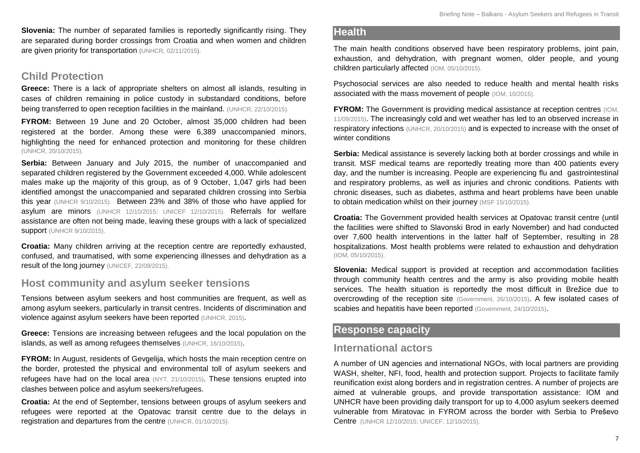**Slovenia:** The number of separated families is reportedly significantly rising. They are separated during border crossings from Croatia and when women and children are given priority for transportation [\(UNHCR, 02/11/2015\)](file:///C:/Users/ACAPS/Downloads/UNHCRUpdate%238ontheEmergencyResponseinEurope.pdf).

#### **Child Protection**

**Greece:** There is a lack of appropriate shelters on almost all islands, resulting in cases of children remaining in police custody in substandard conditions, before being transferred to open reception facilities in the mainland. [\(UNHCR, 22/10/2015\).](http://reliefweb.int/sites/reliefweb.int/files/resources/UNHCRUpdate%237ontheEmergencyResponseinEurope_.pdf)

**FYROM:** Between 19 June and 20 October, almost 35,000 children had been registered at the border. Among these were 6,389 unaccompanied minors, highlighting the need for enhanced protection and monitoring for these children [\(UNHCR, 20/10/2015\)](http://reliefweb.int/sites/reliefweb.int/files/resources/InterAgencyOperationalUpdate14-20October2015-FyRMacedonia.pdf).

**Serbia:** Between January and July 2015, the number of unaccompanied and separated children registered by the Government exceeded 4,000. While adolescent males make up the majority of this group, as of 9 October, 1,047 girls had been identified amongst the unaccompanied and separated children crossing into Serbia this year [\(UNHCR 9/10/2015\).](http://reliefweb.int/sites/reliefweb.int/files/resources/Europerefugeecrisis-briefingnoteonunaccompaniedandseperatedchildren.pdf) Between 23% and 38% of those who have applied for asylum are minors [\(UNHCR 12/10/2015;](http://reliefweb.int/sites/reliefweb.int/files/resources/InteragencyOperationalUpdate29Sep-12Oct.pdf) [UNICEF 12/10/2015\)](http://reliefweb.int/sites/reliefweb.int/files/resources/UNICEF%20Refugee%20and%20Migrant%20Crisis%20in%20Europe%20Regional%20Humanitarian%20SitRep%20No.%201%2C%2012%20October%202015.pdf). Referrals for welfare assistance are often not being made, leaving these groups with a lack of specialized **support** [\(UNHCR 9/10/2015\).](http://reliefweb.int/sites/reliefweb.int/files/resources/Europerefugeecrisis-briefingnoteonunaccompaniedandseperatedchildren.pdf)

**Croatia:** Many children arriving at the reception centre are reportedly exhausted, confused, and traumatised, with some experiencing illnesses and dehydration as a result of the long journey [\(UNICEF, 22/09/2015\).](http://www.unicef.org/media/media_85591.html)

## **Host community and asylum seeker tensions**

Tensions between asylum seekers and host communities are frequent, as well as among asylum seekers, particularly in transit centres. Incidents of discrimination and violence against asylum seekers have been reported [\(UNHCR, 2015\)](http://www.unhcr.org/pages/49e48e726.html).

**Greece:** Tensions are increasing between refugees and the local population on the islands, as well as among refugees themselves [\(UNHCR, 16/10/2015\)](http://www.unhcr.org/562102479.html).

**FYROM:** In August, residents of Gevgelija, which hosts the main reception centre on the border, protested the physical and environmental toll of asylum seekers and refugees have had on the local area [\(NYT, 21/10/2015\)](http://www.nytimes.com/2015/08/22/world/europe/macedonia-police-migrants-crackdown.html?_r=0). These tensions erupted into clashes between police and asylum seekers/refugees.

**Croatia:** At the end of September, tensions between groups of asylum seekers and refugees were reported at the Opatovac transit centre due to the delays in registration and departures from the centre [\(UNHCR, 01/10/2015\).](http://data.unhcr.org/mediterranean/download.php?id=70)

#### **Health**

The main health conditions observed have been respiratory problems, joint pain, exhaustion, and dehydration, with pregnant women, older people, and young children particularly affected [\(IOM, 05/10/2015\)](https://www.iom.int/sites/default/files/situation_reports/file/Europe-Mediterranean-Migration-Crisis-Response-Situation-Report-05-October-2015.pdf).

Psychosocial services are also needed to reduce health and mental health risks associated with the mass movement of people [\(IOM, 10/2015\)](http://reliefweb.int/sites/reliefweb.int/files/resources/IOM-Response-Plan-for-the-Mediterranean-and-Beyond-Oct2015.pdf).

**FYROM:** The Government is providing medical assistance at reception centres (IOM, [11/09/2015\)](https://www.iom.int/sites/default/files/situation_reports/file/European-Migration-Crisis-Western-Balkans-Situation-Report-11Sep2015.pdf). The increasingly cold and wet weather has led to an observed increase in respiratory infections [\(UNHCR, 20/10/2015\)](http://reliefweb.int/sites/reliefweb.int/files/resources/InterAgencyOperationalUpdate14-20October2015-FyRMacedonia.pdf) and is expected to increase with the onset of winter conditions

**Serbia:** Medical assistance is severely lacking both at border crossings and while in transit. MSF medical teams are reportedly treating more than 400 patients every day, and the number is increasing. People are experiencing flu and [gastrointestinal](http://www.msf.org/article/migration-thousands-crossing-balkans-exposed-unnecessary-suffering)  [and respiratory problems, as well as injuries](http://www.msf.org/article/migration-thousands-crossing-balkans-exposed-unnecessary-suffering) and chronic conditions. Patients with chronic diseases, such as [diabetes, asthma and heart problems have been unable](http://www.msf.org/article/migration-thousands-crossing-balkans-exposed-unnecessary-suffering)  [to obtain medication whilst on their journey](http://www.msf.org/article/migration-thousands-crossing-balkans-exposed-unnecessary-suffering) (MSF 15/10/2015).

**Croatia:** The Government provided health services at Opatovac transit centre (until the facilities were shifted to Slavonski Brod in early November) and had conducted over 7,600 health interventions in the latter half of September, resulting in 28 hospitalizations. Most health problems were related to exhaustion and dehydration [\(IOM, 05/10/2015\)](https://www.iom.int/sites/default/files/situation_reports/file/Europe-Mediterranean-Migration-Crisis-Response-Situation-Report-05-October-2015.pdf).

**Slovenia:** Medical support is provided at reception and accommodation facilities through community health centres and the army is also providing mobile health services. The health situation is reportedly the most difficult in Brežice due to overcrowding of the reception site [\(Government, 26/10/2015\)](http://reliefweb.int/report/slovenia/slovenia-keeping-situation-under-control-immense-effort). A few isolated cases of scabies and hepatitis have been reported [\(Government, 24/10/2015\)](http://reliefweb.int/report/slovenia/today-over-64000-refugees-and-migrants-had-entered-slovenia).

## **Response capacity**

## **International actors**

A number of UN agencies and international NGOs, with local partners are providing WASH, shelter, NFI, food, health and protection support. Projects to facilitate family reunification exist along borders and in registration centres. A number of projects are aimed at vulnerable groups, and provide transportation assistance: IOM and UNHCR have been providing daily transport for up to 4,000 asylum seekers deemed vulnerable from Miratovac in FYROM across the border with Serbia to Preševo Centre [\(UNHCR 12/10/2015;](http://reliefweb.int/sites/reliefweb.int/files/resources/InteragencyOperationalUpdate29Sep-12Oct.pdf) [UNICEF, 12/10/2015\)](http://reliefweb.int/sites/reliefweb.int/files/resources/UNICEF%20Refugee%20and%20Migrant%20Crisis%20in%20Europe%20Regional%20Humanitarian%20SitRep%20No.%201%2C%2012%20October%202015.pdf).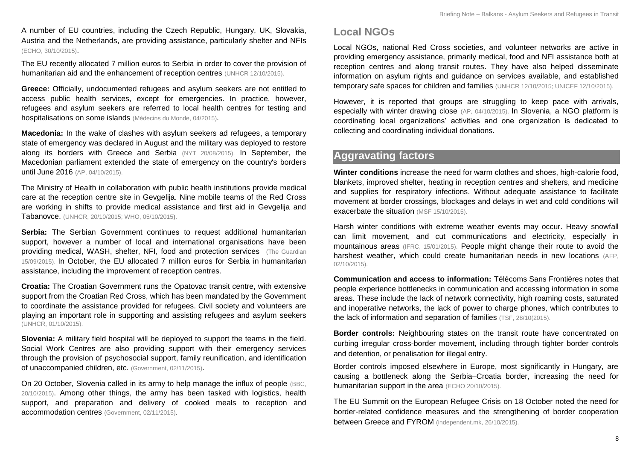A number of EU countries, including the Czech Republic, Hungary, UK, Slovakia, Austria and the Netherlands, are providing assistance, particularly shelter and NFIs [\(ECHO, 30/10/2015\)](http://reliefweb.int/sites/reliefweb.int/files/resources/ECDM_20151030_RefugeeCrisis_UCPMActivations.pdf).

The EU recently allocated 7 million euros to Serbia in order to cover the provision of humanitarian aid and the enhancement of reception centres [\(UNHCR 12/10/2015\)](http://reliefweb.int/sites/reliefweb.int/files/resources/InteragencyOperationalUpdate29Sep-12Oct.pdf).

**Greece:** Officially, undocumented refugees and asylum seekers are not entitled to access public health services, except for emergencies. In practice, however, refugees and asylum seekers are referred to local health centres for testing and hospitalisations on some islands [\(Médecins du Monde, 04/2015\)](http://mdmgreece.gr/app/uploads/2015/04/MdM_Activity-Report_2014_ENG.pdf).

**Macedonia:** In the wake of clashes with asylum seekers ad refugees, a temporary state of emergency was declared in August and the military was deployed to restore along its borders with Greece and Serbia [\(NYT 20/08/2015\)](http://www.nytimes.com/2015/08/21/world/europe/macedonia-detains-migrants-from-greece-at-border.html). In September, the Macedonian parliament extended the state of emergency on the country's borders until June 2016 [\(AP, 04/10/2015\)](http://bigstory.ap.org/article/a0ee5a8a6ff146079a55e26b904f20de/tip-iceberg-no-end-sight-migrant-wave).

The Ministry of Health in collaboration with public health institutions provide medical care at the reception centre site in Gevgelija. Nine mobile teams of the Red Cross are working in shifts to provide medical assistance and first aid in Gevgelija and Tabanovce. [\(UNHCR, 20/10/2015;](http://reliefweb.int/sites/reliefweb.int/files/resources/InterAgencyOperationalUpdate14-20October2015-FyRMacedonia.pdf) WHO, [05/10/2015\)](http://www.euro.who.int/en/countries/the-former-yugoslav-republic-of-macedonia/news/news/2015/09/medical-professionals-trained-in-refugee-and-migrant-health-in-the-former-yugoslav-republic-of-macedonia).

**Serbia:** The Serbian Government continues to request additional humanitarian support, however a number of local and international organisations have been providing medical, WASH, shelter, NFI, food and protection services [\(The Guardian](http://www.theguardian.com/world/live/2015/sep/15/refugee-crisis-hungary-launches-border-crackdown-live-updates)  [15/09/2015\).](http://www.theguardian.com/world/live/2015/sep/15/refugee-crisis-hungary-launches-border-crackdown-live-updates) In October, the EU allocated 7 million euros for Serbia in humanitarian assistance, including the improvement of reception centres.

**Croatia:** The Croatian Government runs the Opatovac transit centre, with extensive support from the Croatian Red Cross, which has been mandated by the Government to coordinate the assistance provided for refugees. Civil society and volunteers are playing an important role in supporting and assisting refugees and asylum seekers [\(UNHCR, 01/10/2015\)](http://data.unhcr.org/mediterranean/download.php?id=70).

**Slovenia:** A military field hospital will be deployed to support the teams in the field. Social Work Centres are also providing support with their emergency services through the provision of psychosocial support, family reunification, and identification of unaccompanied children, etc. [\(Government, 02/11/2015\)](http://www.vlada.si/en/media_room/government_press_releases/press_release/article/aid_for_refugees_to_be_provided_through_public_work_56830/).

On 20 October, Slovenia called in its army to help manage the influx of people [\(BBC,](http://www.bbc.com/news/world-europe-34577943)  [20/10/2015\)](http://www.bbc.com/news/world-europe-34577943). Among other things, the army has been tasked with logistics, health support, and preparation and delivery of cooked meals to reception and accommodation centres [\(Government, 02/11/2015\)](http://www.vlada.si/en/media_room/government_press_releases/press_release/article/aid_for_refugees_to_be_provided_through_public_work_56830/).

## **Local NGOs**

Local NGOs, national Red Cross societies, and volunteer networks are active in providing emergency assistance, primarily medical, food and NFI assistance both at reception centres and along transit routes. They have also helped disseminate information on asylum rights and guidance on services available, and established temporary safe spaces for children and families [\(UNHCR 12/10/2015;](http://reliefweb.int/sites/reliefweb.int/files/resources/InteragencyOperationalUpdate29Sep-12Oct.pdf) [UNICEF 12/10/2015\)](http://reliefweb.int/sites/reliefweb.int/files/resources/UNICEF%20Refugee%20and%20Migrant%20Crisis%20in%20Europe%20Regional%20Humanitarian%20SitRep%20No.%201%2C%2012%20October%202015.pdf).

However, it is reported that groups are struggling to keep pace with arrivals, especially with winter drawing close [\(AP, 04/10/2015\)](http://bigstory.ap.org/article/a0ee5a8a6ff146079a55e26b904f20de/tip-iceberg-no-end-sight-migrant-wave). In Slovenia, a NGO platform is coordinating local organizations' activities and one organization is dedicated to collecting and coordinating individual donations.

## **Aggravating factors**

**Winter conditions** increase the need for warm clothes and shoes, high-calorie food, blankets, improved shelter, heating in reception centres and shelters, and medicine and supplies for respiratory infections. Without adequate assistance to facilitate movement at border crossings, blockages and delays in wet and cold conditions will exacerbate the situation [\(MSF 15/10/2015\).](http://www.msf.org/article/migration-thousands-crossing-balkans-exposed-unnecessary-suffering)

Harsh winter conditions with extreme weather events may occur. Heavy snowfall can limit movement, and cut communications and electricity, especially in mountainous areas [\(IFRC, 15/01/2015\)](http://reliefweb.int/sites/reliefweb.int/files/resources/MDRMK003do.pdf). People might change their route to avoid the harshest weather, which could create humanitarian needs in new locations [\(AFP,](http://news.yahoo.com/croatia-braces-winter-shivering-migrants-pour-090335529.html)  [02/10/2015\).](http://news.yahoo.com/croatia-braces-winter-shivering-migrants-pour-090335529.html)

**Communication and access to information:** Télécoms Sans Frontières notes that people experience bottlenecks in communication and accessing information in some areas. These include the lack of network connectivity, high roaming costs, saturated and inoperative networks, the lack of power to charge phones, which contributes to the lack of information and separation of families [\(TSF, 28/10\(2015\)](http://reliefweb.int/sites/reliefweb.int/files/resources/TSF_SitRep1_W.Balkans_281015.pdf).

**Border controls:** Neighbouring states on the transit route have concentrated on curbing irregular cross-border movement, including through tighter border controls and detention, or penalisation for illegal entry.

Border controls imposed elsewhere in Europe, most significantly in Hungary, are causing a bottleneck along the Serbia–Croatia border, increasing the need for humanitarian support in the area [\(ECHO 20/10/2015\)](http://reliefweb.int/report/world/western-balkans-refugee-crisis-echo-daily-flash-20-october-2015).

The EU Summit on the European Refugee Crisis on 18 October noted the need for border-related confidence measures and the strengthening of border cooperation between Greece and FYROM [\(independent.mk, 26/10/2015\)](http://www.independent.mk/articles/23547/EU+Demands+Macedonia+and+Greece+to+Cooperate+in+Tackling+Migrant+Crisis#sthash.3FtWxqoz.dpuf).